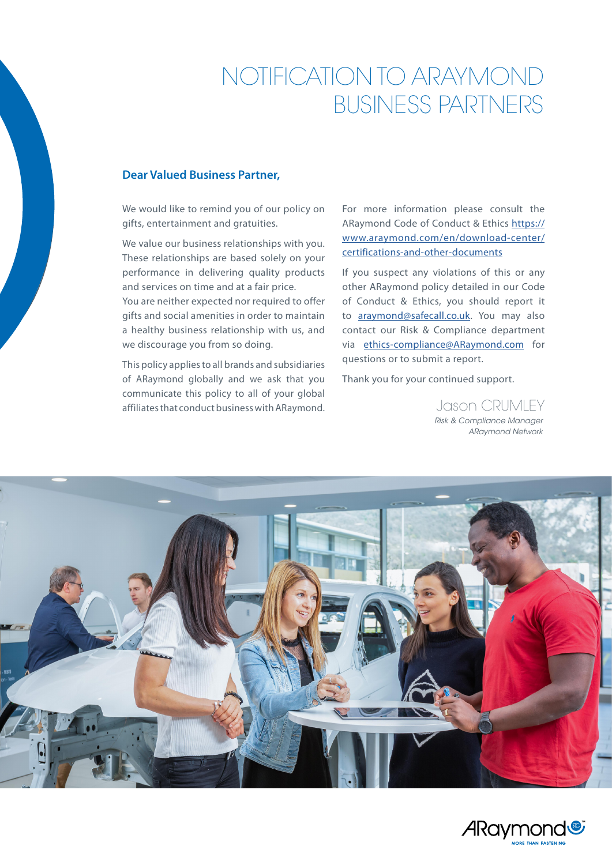# NOTIFICATION TO ARAYMOND BUSINESS PARTNERS

#### **Dear Valued Business Partner,**

We would like to remind you of our policy on gifts, entertainment and gratuities.

We value our business relationships with you. These relationships are based solely on your performance in delivering quality products and services on time and at a fair price.

You are neither expected nor required to offer gifts and social amenities in order to maintain a healthy business relationship with us, and we discourage you from so doing.

This policy applies to all brands and subsidiaries of ARaymond globally and we ask that you communicate this policy to all of your global affiliates that conduct business with ARaymond.

For more information please consult the ARaymond Code of Conduct & Ethics [https://](https://www.araymond.com/en/download-center/certifications-and-other-documents) [www.araymond.com/en/download-center/](https://www.araymond.com/en/download-center/certifications-and-other-documents) [certifications-and-other-documents](https://www.araymond.com/en/download-center/certifications-and-other-documents)

If you suspect any violations of this or any other ARaymond policy detailed in our Code of Conduct & Ethics, you should report it to [araymond@safecall.co.uk.](mailto:araymond@safecall.co.uk) You may also contact our Risk & Compliance department via [ethics-compliance@ARaymond.com](mailto:ethics-compliance@ARaymond.com) for questions or to submit a report.

Thank you for your continued support.